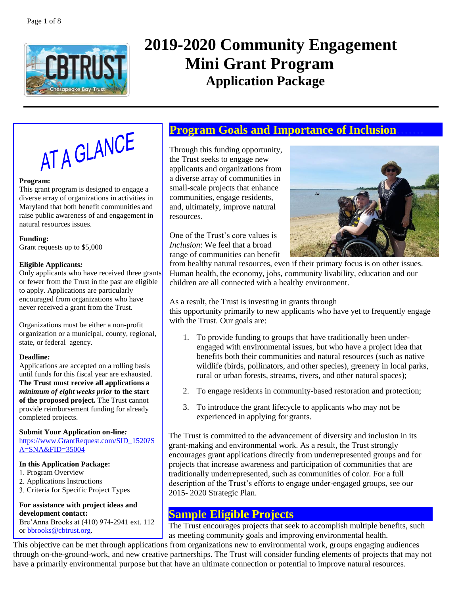

# **2019-2020 Community Engagement Mini Grant Program Application Package**



#### **Program:**

This grant program is designed to engage a diverse array of organizations in activities in Maryland that both benefit communities and raise public awareness of and engagement in natural resources issues.

**Funding:** Grant requests up to \$5,000

#### **Eligible Applicants***:*

Only applicants who have received three grants or fewer from the Trust in the past are eligible to apply. Applications are particularly encouraged from organizations who have never received a grant from the Trust.

Organizations must be either a non-profit organization or a municipal, county, regional, state, or federal agency.

#### **Deadline:**

Applications are accepted on a rolling basis until funds for this fiscal year are exhausted. **The Trust must receive all applications a**  *minimum of eight weeks prior* **to the start of the proposed project.** The Trust cannot provide reimbursement funding for already completed projects.

#### **Submit Your Application on-line***:*

[https://www.GrantRequest.com/SID\\_1520?S](https://www.grantrequest.com/SID_1520?SA=SNA&FID=35004) [A=SNA&FID=35004](https://www.grantrequest.com/SID_1520?SA=SNA&FID=35004)

#### **In this Application Package:**

- 1. Program Overview
- Applications Instructions
- 3. Criteria for Specific Project Types

#### **For assistance with project ideas and development contact:**

Bre'Anna Brooks at (410) 974-2941 ext. 112 or [bbrooks@cbtrust.org.](mailto:bbrooks@cbtrust.org)

# **Program Goals and Importance of Inclusion…….**

Through this funding opportunity, the Trust seeks to engage new applicants and organizations from a diverse array of communities in small-scale projects that enhance communities, engage residents, and, ultimately, improve natural resources.

One of the Trust's core values is *Inclusion*: We feel that a broad range of communities can benefit



from healthy natural resources, even if their primary focus is on other issues. Human health, the economy, jobs, community livability, education and our children are all connected with a healthy environment.

As a result, the Trust is investing in grants through this opportunity primarily to new applicants who have yet to frequently engage with the Trust. Our goals are:

- 1. To provide funding to groups that have traditionally been underengaged with environmental issues, but who have a project idea that benefits both their communities and natural resources (such as native wildlife (birds, pollinators, and other species), greenery in local parks, rural or urban forests, streams, rivers, and other natural spaces);
- 2. To engage residents in community-based restoration and protection;
- 3. To introduce the grant lifecycle to applicants who may not be experienced in applying for grants.

The Trust is committed to the advancement of diversity and inclusion in its grant-making and environmental work. As a result, the Trust strongly encourages grant applications directly from underrepresented groups and for projects that increase awareness and participation of communities that are traditionally underrepresented, such as communities of color. For a full description of the Trust's efforts to engage under-engaged groups, see our 2015- 2020 Strategic Plan.

## **Sample Eligible Projects**

The Trust encourages projects that seek to accomplish multiple benefits, such as meeting community goals and improving environmental health.

This objective can be met through applications from organizations new to environmental work, groups engaging audiences through on-the-ground-work, and new creative partnerships. The Trust will consider funding elements of projects that may not have a primarily environmental purpose but that have an ultimate connection or potential to improve natural resources.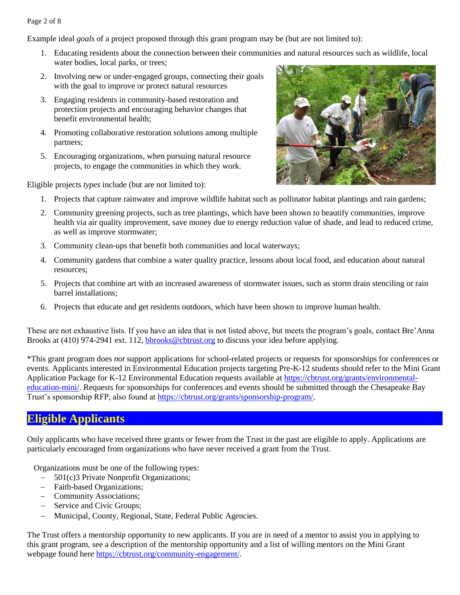#### Page 2 of 8

Example ideal *goals* of a project proposed through this grant program may be (but are not limited to):

- 1. Educating residents about the connection between their communities and natural resources such as wildlife, local water bodies, local parks, or trees;
- 2. Involving new or under-engaged groups, connecting their goals with the goal to improve or protect natural resources
- 3. Engaging residents in community-based restoration and protection projects and encouraging behavior changes that benefit environmental health;
- 4. Promoting collaborative restoration solutions among multiple partners;
- 5. Encouraging organizations, when pursuing natural resource projects, to engage the communities in which they work.

Eligible projects *types* include (but are not limited to):



- 1. Projects that capture rainwater and improve wildlife habitat such as pollinator habitat plantings and rain gardens;
- 2. Community greening projects, such as tree plantings, which have been shown to beautify communities, improve health via air quality improvement, save money due to energy reduction value of shade, and lead to reduced crime, as well as improve stormwater;
- 3. Community clean-ups that benefit both communities and local waterways;
- 4. Community gardens that combine a water quality practice, lessons about local food, and education about natural resources;
- 5. Projects that combine art with an increased awareness of stormwater issues, such as storm drain stenciling or rain barrel installations;
- 6. Projects that educate and get residents outdoors, which have been shown to improve human health.

These are not exhaustive lists. If you have an idea that is not listed above, but meets the program's goals, contact Bre'Anna Brooks at (410) 974-2941 ext. 112, [bbrooks@cbtrust.org](mailto:bbrooks@cbtrust.org) to discuss your idea before applying.

\*This grant program does *not* support applications for school-related projects or requests for sponsorships for conferences or events. Applicants interested in Environmental Education projects targeting Pre-K-12 students should refer to the Mini Grant Application Package for K-12 Environmental Education requests available at [https://cbtrust.org/grants/environmental](https://cbtrust.org/grants/environmental-education-mini/)[education-mini/. R](https://cbtrust.org/grants/environmental-education-mini/)equests for sponsorships for conferences and events should be submitted through the Chesapeake Bay Trust's sponsorship RFP, also found at [https://cbtrust.org/grants/sponsorship-program/.](https://cbtrust.org/grants/sponsorship-program/)

# **Eligible Applicants**

Only applicants who have received three grants or fewer from the Trust in the past are eligible to apply. Applications are particularly encouraged from organizations who have never received a grant from the Trust.

Organizations must be one of the following types:

- − 501(c)3 Private Nonprofit Organizations;
- − Faith-based Organizations;
- − Community Associations;
- − Service and Civic Groups;
- − Municipal, County, Regional, State, Federal Public Agencies.

The Trust offers a mentorship opportunity to new applicants. If you are in need of a mentor to assist you in applying to this grant program, see a description of the mentorship opportunity and a list of willing mentors on the Mini Grant webpage found here [https://cbtrust.org/community-engagement/.](https://cbtrust.org/community-engagement/)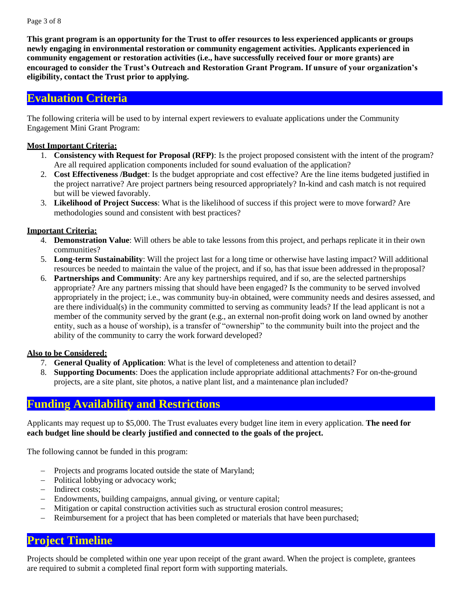**This grant program is an opportunity for the Trust to offer resources to less experienced applicants or groups newly engaging in environmental restoration or community engagement activities. Applicants experienced in community engagement or restoration activities (i.e., have successfully received four or more grants) are encouraged to consider the Trust's Outreach and Restoration Grant Program. If unsure of your organization's eligibility, contact the Trust prior to applying.**

### **Evaluation Criteria**

The following criteria will be used to by internal expert reviewers to evaluate applications under the Community Engagement Mini Grant Program:

### **Most Important Criteria:**

- 1. **Consistency with Request for Proposal (RFP)**: Is the project proposed consistent with the intent of the program? Are all required application components included for sound evaluation of the application?
- 2. **Cost Effectiveness /Budget**: Is the budget appropriate and cost effective? Are the line items budgeted justified in the project narrative? Are project partners being resourced appropriately? In-kind and cash match is not required but will be viewed favorably.
- 3. **Likelihood of Project Success**: What is the likelihood of success if this project were to move forward? Are methodologies sound and consistent with best practices?

### **Important Criteria:**

- 4. **Demonstration Value**: Will others be able to take lessons from this project, and perhaps replicate it in their own communities?
- 5. **Long-term Sustainability**: Will the project last for a long time or otherwise have lasting impact? Will additional resources be needed to maintain the value of the project, and if so, has that issue been addressed in theproposal?
- 6. **Partnerships and Community**: Are any key partnerships required, and if so, are the selected partnerships appropriate? Are any partners missing that should have been engaged? Is the community to be served involved appropriately in the project; i.e., was community buy-in obtained, were community needs and desires assessed, and are there individual(s) in the community committed to serving as community leads? If the lead applicant is not a member of the community served by the grant (e.g., an external non-profit doing work on land owned by another entity, such as a house of worship), is a transfer of "ownership" to the community built into the project and the ability of the community to carry the work forward developed?

### **Also to be Considered:**

- 7. **General Quality of Application**: What is the level of completeness and attention to detail?
- 8. **Supporting Documents**: Does the application include appropriate additional attachments? For on-the-ground projects, are a site plant, site photos, a native plant list, and a maintenance plan included?

# **Funding Availability and Restrictions**

Applicants may request up to \$5,000. The Trust evaluates every budget line item in every application. **The need for each budget line should be clearly justified and connected to the goals of the project.**

The following cannot be funded in this program:

- − Projects and programs located outside the state of Maryland;
- − Political lobbying or advocacy work;
- − Indirect costs;
- − Endowments, building campaigns, annual giving, or venture capital;
- − Mitigation or capital construction activities such as structural erosion control measures;
- − Reimbursement for a project that has been completed or materials that have been purchased;

# **Project Timeline**

Projects should be completed within one year upon receipt of the grant award. When the project is complete, grantees are required to submit a completed final report form with supporting materials.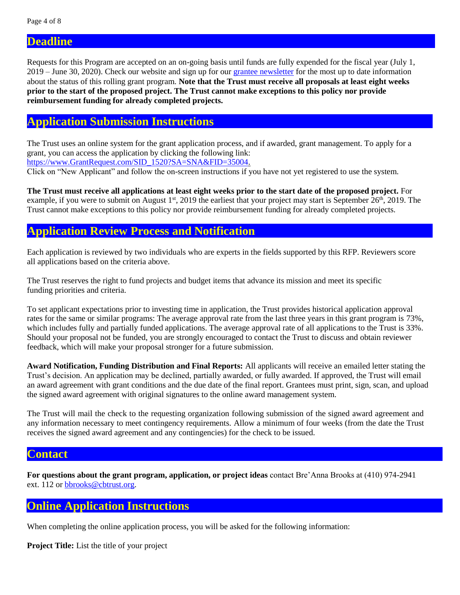**Deadline**

Requests for this Program are accepted on an on-going basis until funds are fully expended for the fiscal year (July 1, 2019 – June 30, 2020). Check our website and sign up for our [grantee newsletter](https://cbtrust.org/newsletters/newslettersignup/) for the most up to date information about the status of this rolling grant program. **Note that the Trust must receive all proposals at least eight weeks prior to the start of the proposed project. The Trust cannot make exceptions to this policy nor provide reimbursement funding for already completed projects.**

### **Application Submission Instructions**

The Trust uses an online system for the grant application process, and if awarded, grant management. To apply for a grant, you can access the application by clicking the following link: [https://www.GrantRequest.com/SID\\_1520?SA=SNA&FID=35004.](https://www.grantrequest.com/SID_1520?SA=SNA&FID=35004)

Click on "New Applicant" and follow the on-screen instructions if you have not yet registered to use the system.

**The Trust must receive all applications at least eight weeks prior to the start date of the proposed project.** For example, if you were to submit on August  $1<sup>st</sup>$ , 2019 the earliest that your project may start is September  $26<sup>th</sup>$ , 2019. The Trust cannot make exceptions to this policy nor provide reimbursement funding for already completed projects.

## **Application Review Process and Notification**

Each application is reviewed by two individuals who are experts in the fields supported by this RFP. Reviewers score all applications based on the criteria above.

The Trust reserves the right to fund projects and budget items that advance its mission and meet its specific funding priorities and criteria.

To set applicant expectations prior to investing time in application, the Trust provides historical application approval rates for the same or similar programs: The average approval rate from the last three years in this grant program is 73%, which includes fully and partially funded applications. The average approval rate of all applications to the Trust is  $33\%$ . Should your proposal not be funded, you are strongly encouraged to contact the Trust to discuss and obtain reviewer feedback, which will make your proposal stronger for a future submission.

**Award Notification, Funding Distribution and Final Reports:** All applicants will receive an emailed letter stating the Trust's decision. An application may be declined, partially awarded, or fully awarded. If approved, the Trust will email an award agreement with grant conditions and the due date of the final report. Grantees must print, sign, scan, and upload the signed award agreement with original signatures to the online award management system.

The Trust will mail the check to the requesting organization following submission of the signed award agreement and any information necessary to meet contingency requirements. Allow a minimum of four weeks (from the date the Trust receives the signed award agreement and any contingencies) for the check to be issued.

### **Contact**

**For questions about the grant program, application, or project ideas** contact Bre'Anna Brooks at (410) 974-2941 ext. 112 or [bbrooks@cbtrust.org.](mailto:bbrooks@cbtrust.org)

# **Online Application Instructions**

When completing the online application process, you will be asked for the following information:

**Project Title:** List the title of your project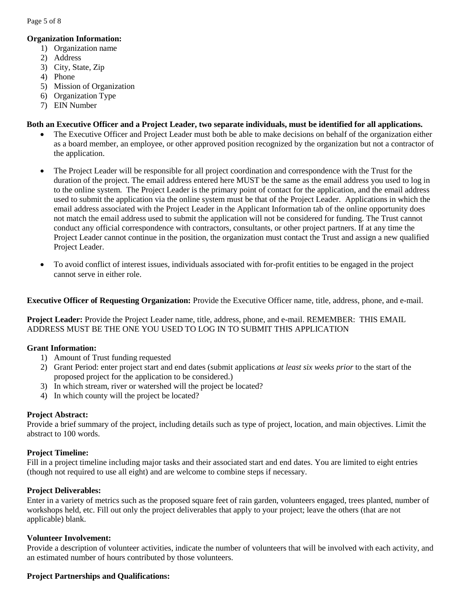Page 5 of 8

#### **Organization Information:**

- 1) Organization name
- 2) Address
- 3) City, State, Zip
- 4) Phone
- 5) Mission of Organization
- 6) Organization Type
- 7) EIN Number

#### **Both an Executive Officer and a Project Leader, two separate individuals, must be identified for all applications.**

- The Executive Officer and Project Leader must both be able to make decisions on behalf of the organization either as a board member, an employee, or other approved position recognized by the organization but not a contractor of the application.
- The Project Leader will be responsible for all project coordination and correspondence with the Trust for the duration of the project. The email address entered here MUST be the same as the email address you used to log in to the online system. The Project Leader is the primary point of contact for the application, and the email address used to submit the application via the online system must be that of the Project Leader. Applications in which the email address associated with the Project Leader in the Applicant Information tab of the online opportunity does not match the email address used to submit the application will not be considered for funding. The Trust cannot conduct any official correspondence with contractors, consultants, or other project partners. If at any time the Project Leader cannot continue in the position, the organization must contact the Trust and assign a new qualified Project Leader.
- To avoid conflict of interest issues, individuals associated with for-profit entities to be engaged in the project cannot serve in either role.

**Executive Officer of Requesting Organization:** Provide the Executive Officer name, title, address, phone, and e-mail.

**Project Leader:** Provide the Project Leader name, title, address, phone, and e-mail. REMEMBER: THIS EMAIL ADDRESS MUST BE THE ONE YOU USED TO LOG IN TO SUBMIT THIS APPLICATION

#### **Grant Information:**

- 1) Amount of Trust funding requested
- 2) Grant Period: enter project start and end dates (submit applications *at least six weeks prior* to the start of the proposed project for the application to be considered.)
- 3) In which stream, river or watershed will the project be located?
- 4) In which county will the project be located?

#### **Project Abstract:**

Provide a brief summary of the project, including details such as type of project, location, and main objectives. Limit the abstract to 100 words.

#### **Project Timeline:**

Fill in a project timeline including major tasks and their associated start and end dates. You are limited to eight entries (though not required to use all eight) and are welcome to combine steps if necessary.

#### **Project Deliverables:**

Enter in a variety of metrics such as the proposed square feet of rain garden, volunteers engaged, trees planted, number of workshops held, etc. Fill out only the project deliverables that apply to your project; leave the others (that are not applicable) blank.

#### **Volunteer Involvement:**

Provide a description of volunteer activities, indicate the number of volunteers that will be involved with each activity, and an estimated number of hours contributed by those volunteers.

#### **Project Partnerships and Qualifications:**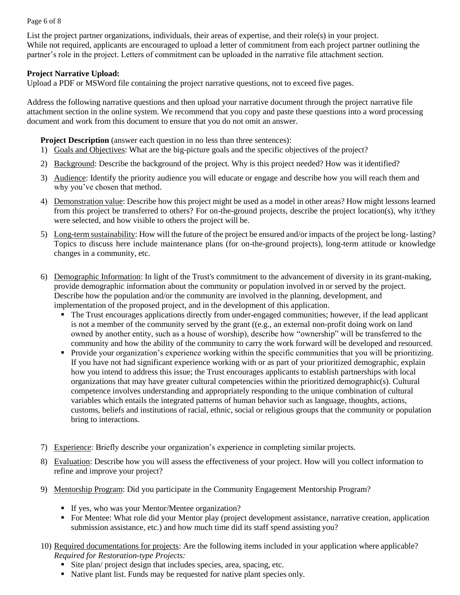#### Page 6 of 8

List the project partner organizations, individuals, their areas of expertise, and their role(s) in your project. While not required, applicants are encouraged to upload a letter of commitment from each project partner outlining the partner's role in the project. Letters of commitment can be uploaded in the narrative file attachment section.

#### **Project Narrative Upload:**

Upload a PDF or MSWord file containing the project narrative questions, not to exceed five pages.

Address the following narrative questions and then upload your narrative document through the project narrative file attachment section in the online system. We recommend that you copy and paste these questions into a word processing document and work from this document to ensure that you do not omit an answer.

**Project Description** (answer each question in no less than three sentences):

- 1) Goals and Objectives: What are the big-picture goals and the specific objectives of the project?
- 2) Background: Describe the background of the project. Why is this project needed? How was it identified?
- 3) Audience: Identify the priority audience you will educate or engage and describe how you will reach them and why you've chosen that method.
- 4) Demonstration value: Describe how this project might be used as a model in other areas? How might lessons learned from this project be transferred to others? For on-the-ground projects, describe the project location(s), why it/they were selected, and how visible to others the project will be.
- 5) Long-term sustainability: How will the future of the project be ensured and/or impacts of the project be long- lasting? Topics to discuss here include maintenance plans (for on-the-ground projects), long-term attitude or knowledge changes in a community, etc.
- 6) Demographic Information: In light of the Trust's commitment to the advancement of diversity in its grant-making, provide demographic information about the community or population involved in or served by the project. Describe how the population and/or the community are involved in the planning, development, and implementation of the proposed project, and in the development of this application.
	- The Trust encourages applications directly from under-engaged communities; however, if the lead applicant is not a member of the community served by the grant ((e.g., an external non-profit doing work on land owned by another entity, such as a house of worship), describe how "ownership" will be transferred to the community and how the ability of the community to carry the work forward will be developed and resourced.
	- Provide your organization's experience working within the specific communities that you will be prioritizing. If you have not had significant experience working with or as part of your prioritized demographic, explain how you intend to address this issue; the Trust encourages applicants to establish partnerships with local organizations that may have greater cultural competencies within the prioritized demographic(s). Cultural competence involves understanding and appropriately responding to the unique combination of cultural variables which entails the integrated patterns of human behavior such as language, thoughts, actions, customs, beliefs and institutions of racial, ethnic, social or religious groups that the community or population bring to interactions.
- 7) Experience: Briefly describe your organization's experience in completing similar projects.
- 8) Evaluation: Describe how you will assess the effectiveness of your project. How will you collect information to refine and improve your project?
- 9) Mentorship Program: Did you participate in the Community Engagement Mentorship Program?
	- **If yes, who was your Mentor/Mentee organization?**
	- For Mentee: What role did your Mentor play (project development assistance, narrative creation, application submission assistance, etc.) and how much time did its staff spend assisting you?
- 10) Required documentations for projects: Are the following items included in your application where applicable? *Required for Restoration-type Projects:*
	- Site plan/ project design that includes species, area, spacing, etc.
	- Native plant list. Funds may be requested for native plant species only.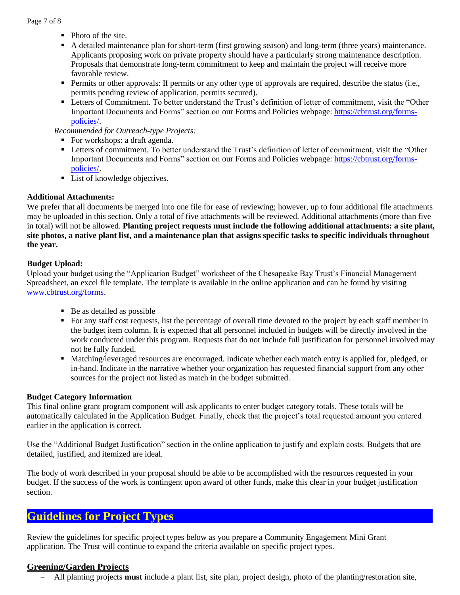- Photo of the site.
- A detailed maintenance plan for short-term (first growing season) and long-term (three years) maintenance. Applicants proposing work on private property should have a particularly strong maintenance description. Proposals that demonstrate long-term commitment to keep and maintain the project will receive more favorable review.
- **•** Permits or other approvals: If permits or any other type of approvals are required, describe the status (i.e., permits pending review of application, permits secured).
- Letters of Commitment. To better understand the Trust's definition of letter of commitment, visit the "Other Important Documents and Forms" section on our Forms and Policies webpage: [https://cbtrust.org/forms](https://cbtrust.org/forms-policies/)[policies/.](https://cbtrust.org/forms-policies/)

*Recommended for Outreach-type Projects:*

- For workshops: a draft agenda.
- Letters of commitment. To better understand the Trust's definition of letter of commitment, visit the "Other Important Documents and Forms" section on our Forms and Policies webpage: [https://cbtrust.org/forms](https://cbtrust.org/forms-policies/)[policies/.](https://cbtrust.org/forms-policies/)
- List of knowledge objectives.

#### **Additional Attachments:**

We prefer that all documents be merged into one file for ease of reviewing; however, up to four additional file attachments may be uploaded in this section. Only a total of five attachments will be reviewed. Additional attachments (more than five in total) will not be allowed. **Planting project requests must include the following additional attachments: a site plant, site photos, a native plant list, and a maintenance plan that assigns specific tasks to specific individuals throughout the year.**

#### **Budget Upload:**

Upload your budget using the "Application Budget" worksheet of the Chesapeake Bay Trust's Financial Management Spreadsheet, an excel file template. The template is available in the online application and can be found by visiting [www.cbtrust.org/forms.](http://www.cbtrust.org/forms)

- $\blacksquare$  Be as detailed as possible
- For any staff cost requests, list the percentage of overall time devoted to the project by each staff member in the budget item column. It is expected that all personnel included in budgets will be directly involved in the work conducted under this program. Requests that do not include full justification for personnel involved may not be fully funded.
- Matching/leveraged resources are encouraged. Indicate whether each match entry is applied for, pledged, or in-hand. Indicate in the narrative whether your organization has requested financial support from any other sources for the project not listed as match in the budget submitted.

#### **Budget Category Information**

This final online grant program component will ask applicants to enter budget category totals. These totals will be automatically calculated in the Application Budget. Finally, check that the project's total requested amount you entered earlier in the application is correct.

Use the "Additional Budget Justification" section in the online application to justify and explain costs. Budgets that are detailed, justified, and itemized are ideal.

The body of work described in your proposal should be able to be accomplished with the resources requested in your budget. If the success of the work is contingent upon award of other funds, make this clear in your budget justification section.

# **Guidelines for Project Types**

Review the guidelines for specific project types below as you prepare a Community Engagement Mini Grant application. The Trust will continue to expand the criteria available on specific project types.

### **Greening/Garden Projects**

− All planting projects **must** include a plant list, site plan, project design, photo of the planting/restoration site,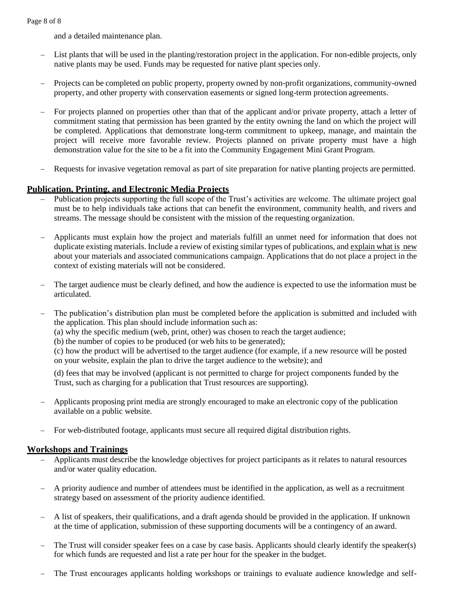and a detailed maintenance plan.

- List plants that will be used in the planting/restoration project in the application. For non-edible projects, only native plants may be used. Funds may be requested for native plant species only.
- Projects can be completed on public property, property owned by non-profit organizations, community-owned property, and other property with conservation easements or signed long-term protection agreements.
- For projects planned on properties other than that of the applicant and/or private property, attach a letter of commitment stating that permission has been granted by the entity owning the land on which the project will be completed. Applications that demonstrate long-term commitment to upkeep, manage, and maintain the project will receive more favorable review. Projects planned on private property must have a high demonstration value for the site to be a fit into the Community Engagement Mini Grant Program.
- Requests for invasive vegetation removal as part of site preparation for native planting projects are permitted.

### **Publication, Printing, and Electronic Media Projects**

- Publication projects supporting the full scope of the Trust's activities are welcome. The ultimate project goal must be to help individuals take actions that can benefit the environment, community health, and rivers and streams. The message should be consistent with the mission of the requesting organization.
- − Applicants must explain how the project and materials fulfill an unmet need for information that does not duplicate existing materials. Include a review of existing similar types of publications, and explain what is new about your materials and associated communications campaign. Applications that do not place a project in the context of existing materials will not be considered.
- The target audience must be clearly defined, and how the audience is expected to use the information must be articulated.
- The publication's distribution plan must be completed before the application is submitted and included with the application. This plan should include information such as:
	- (a) why the specific medium (web, print, other) was chosen to reach the target audience;

(b) the number of copies to be produced (or web hits to be generated);

(c) how the product will be advertised to the target audience (for example, if a new resource will be posted on your website, explain the plan to drive the target audience to the website); and

(d) fees that may be involved (applicant is not permitted to charge for project components funded by the Trust, such as charging for a publication that Trust resources are supporting).

- − Applicants proposing print media are strongly encouraged to make an electronic copy of the publication available on a public website.
- For web-distributed footage, applicants must secure all required digital distribution rights.

### **Workshops and Trainings**

- − Applicants must describe the knowledge objectives for project participants as it relates to natural resources and/or water quality education.
- − A priority audience and number of attendees must be identified in the application, as well as a recruitment strategy based on assessment of the priority audience identified.
- − A list of speakers, their qualifications, and a draft agenda should be provided in the application. If unknown at the time of application, submission of these supporting documents will be a contingency of an award.
- The Trust will consider speaker fees on a case by case basis. Applicants should clearly identify the speaker(s) for which funds are requested and list a rate per hour for the speaker in the budget.
- The Trust encourages applicants holding workshops or trainings to evaluate audience knowledge and self-